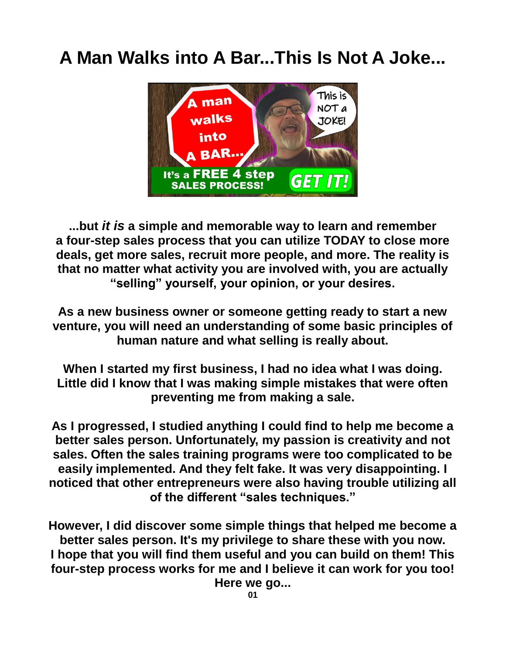## **A Man Walks into A Bar...This Is Not A Joke...**



**...but** *it is* **a simple and memorable way to learn and remember a four-step sales process that you can utilize TODAY to close more deals, get more sales, recruit more people, and more. The reality is that no matter what activity you are involved with, you are actually "selling" yourself, your opinion, or your desires.**

**As a new business owner or someone getting ready to start a new venture, you will need an understanding of some basic principles of human nature and what selling is really about.**

**When I started my first business, I had no idea what I was doing. Little did I know that I was making simple mistakes that were often preventing me from making a sale.**

**As I progressed, I studied anything I could find to help me become a better sales person. Unfortunately, my passion is creativity and not sales. Often the sales training programs were too complicated to be easily implemented. And they felt fake. It was very disappointing. I noticed that other entrepreneurs were also having trouble utilizing all of the different "sales techniques."**

**However, I did discover some simple things that helped me become a better sales person. It's my privilege to share these with you now. I hope that you will find them useful and you can build on them! This four-step process works for me and I believe it can work for you too!**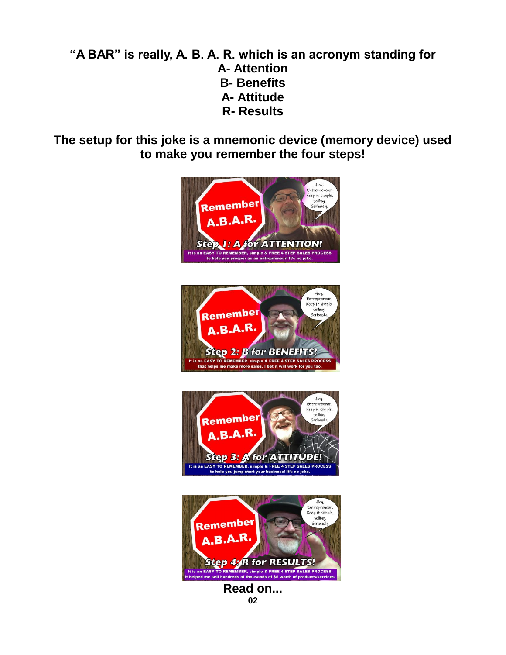#### **"A BAR" is really, A. B. A. R. which is an acronym standing for A- Attention B- Benefits A- Attitude R- Results**

**The setup for this joke is a mnemonic device (memory device) used to make you remember the four steps!**









**Read on... 02**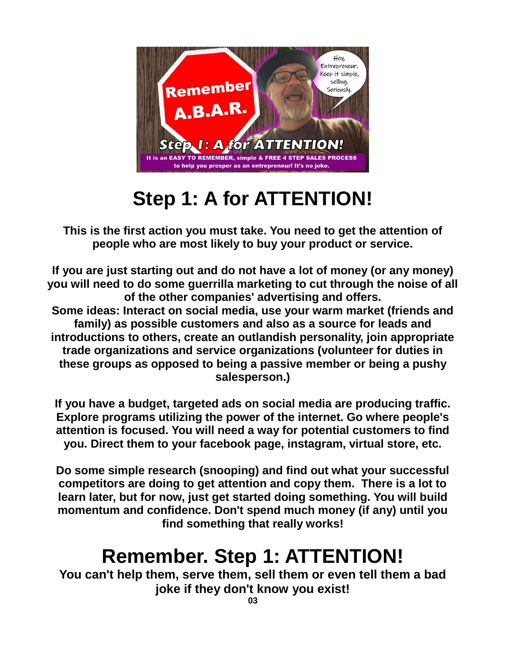

# **Step 1: A for ATTENTION!**

**This is the first action you must take. You need to get the attention of people who are most likely to buy your product or service.**

**If you are just starting out and do not have a lot of money (or any money) you will need to do some guerrilla marketing to cut through the noise of all of the other companies' advertising and offers. Some ideas: Interact on social media, use your warm market (friends and family) as possible customers and also as a source for leads and introductions to others, create an outlandish personality, join appropriate trade organizations and service organizations (volunteer for duties in these groups as opposed to being a passive member or being a pushy salesperson.)**

**If you have a budget, targeted ads on social media are producing traffic. Explore programs utilizing the power of the internet. Go where people's attention is focused. You will need a way for potential customers to find you. Direct them to your facebook page, instagram, virtual store, etc.**

**Do some simple research (snooping) and find out what your successful competitors are doing to get attention and copy them. There is a lot to learn later, but for now, just get started doing something. You will build momentum and confidence. Don't spend much money (if any) until you find something that really works!**

# **Remember. Step 1: ATTENTION!**

**You can't help them, serve them, sell them or even tell them a bad joke if they don't know you exist!**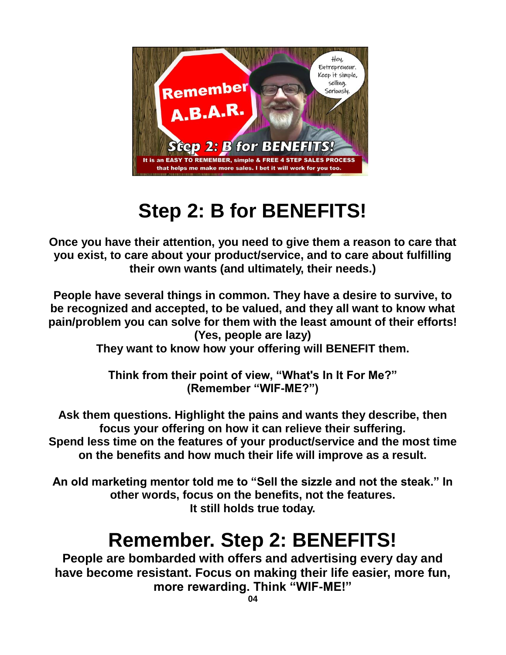

# **Step 2: B for BENEFITS!**

**Once you have their attention, you need to give them a reason to care that you exist, to care about your product/service, and to care about fulfilling their own wants (and ultimately, their needs.)**

**People have several things in common. They have a desire to survive, to be recognized and accepted, to be valued, and they all want to know what pain/problem you can solve for them with the least amount of their efforts! (Yes, people are lazy)**

**They want to know how your offering will BENEFIT them.**

**Think from their point of view, "What's In It For Me?" (Remember "WIF-ME?")**

**Ask them questions. Highlight the pains and wants they describe, then focus your offering on how it can relieve their suffering. Spend less time on the features of your product/service and the most time on the benefits and how much their life will improve as a result.**

**An old marketing mentor told me to "Sell the sizzle and not the steak." In other words, focus on the benefits, not the features. It still holds true today.**

# **Remember. Step 2: BENEFITS!**

**People are bombarded with offers and advertising every day and have become resistant. Focus on making their life easier, more fun, more rewarding. Think "WIF-ME!"**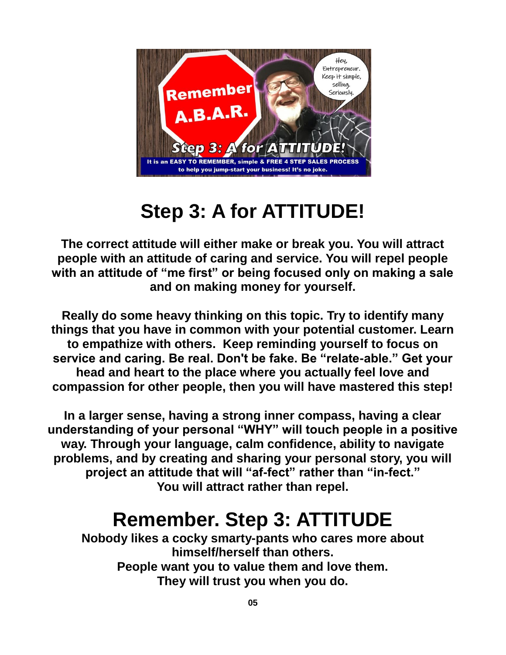

# **Step 3: A for ATTITUDE!**

**The correct attitude will either make or break you. You will attract people with an attitude of caring and service. You will repel people with an attitude of "me first" or being focused only on making a sale and on making money for yourself.**

**Really do some heavy thinking on this topic. Try to identify many things that you have in common with your potential customer. Learn to empathize with others. Keep reminding yourself to focus on service and caring. Be real. Don't be fake. Be "relate-able." Get your head and heart to the place where you actually feel love and compassion for other people, then you will have mastered this step!**

**In a larger sense, having a strong inner compass, having a clear understanding of your personal "WHY" will touch people in a positive way. Through your language, calm confidence, ability to navigate problems, and by creating and sharing your personal story, you will project an attitude that will "af-fect" rather than "in-fect." You will attract rather than repel.**

## **Remember. Step 3: ATTITUDE**

**Nobody likes a cocky smarty-pants who cares more about himself/herself than others. People want you to value them and love them. They will trust you when you do.**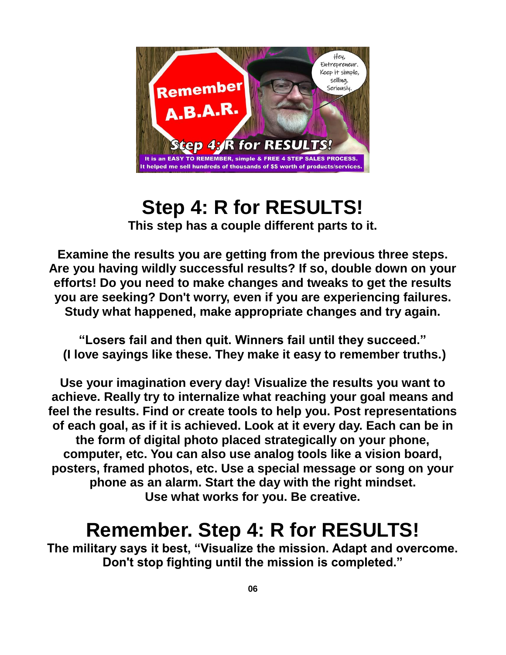

### **Step 4: R for RESULTS! This step has a couple different parts to it.**

**Examine the results you are getting from the previous three steps. Are you having wildly successful results? If so, double down on your efforts! Do you need to make changes and tweaks to get the results you are seeking? Don't worry, even if you are experiencing failures. Study what happened, make appropriate changes and try again.**

**"Losers fail and then quit. Winners fail until they succeed." (I love sayings like these. They make it easy to remember truths.)**

**Use your imagination every day! Visualize the results you want to achieve. Really try to internalize what reaching your goal means and feel the results. Find or create tools to help you. Post representations of each goal, as if it is achieved. Look at it every day. Each can be in the form of digital photo placed strategically on your phone, computer, etc. You can also use analog tools like a vision board, posters, framed photos, etc. Use a special message or song on your phone as an alarm. Start the day with the right mindset. Use what works for you. Be creative.**

## **Remember. Step 4: R for RESULTS!**

**The military says it best, "Visualize the mission. Adapt and overcome. Don't stop fighting until the mission is completed."**